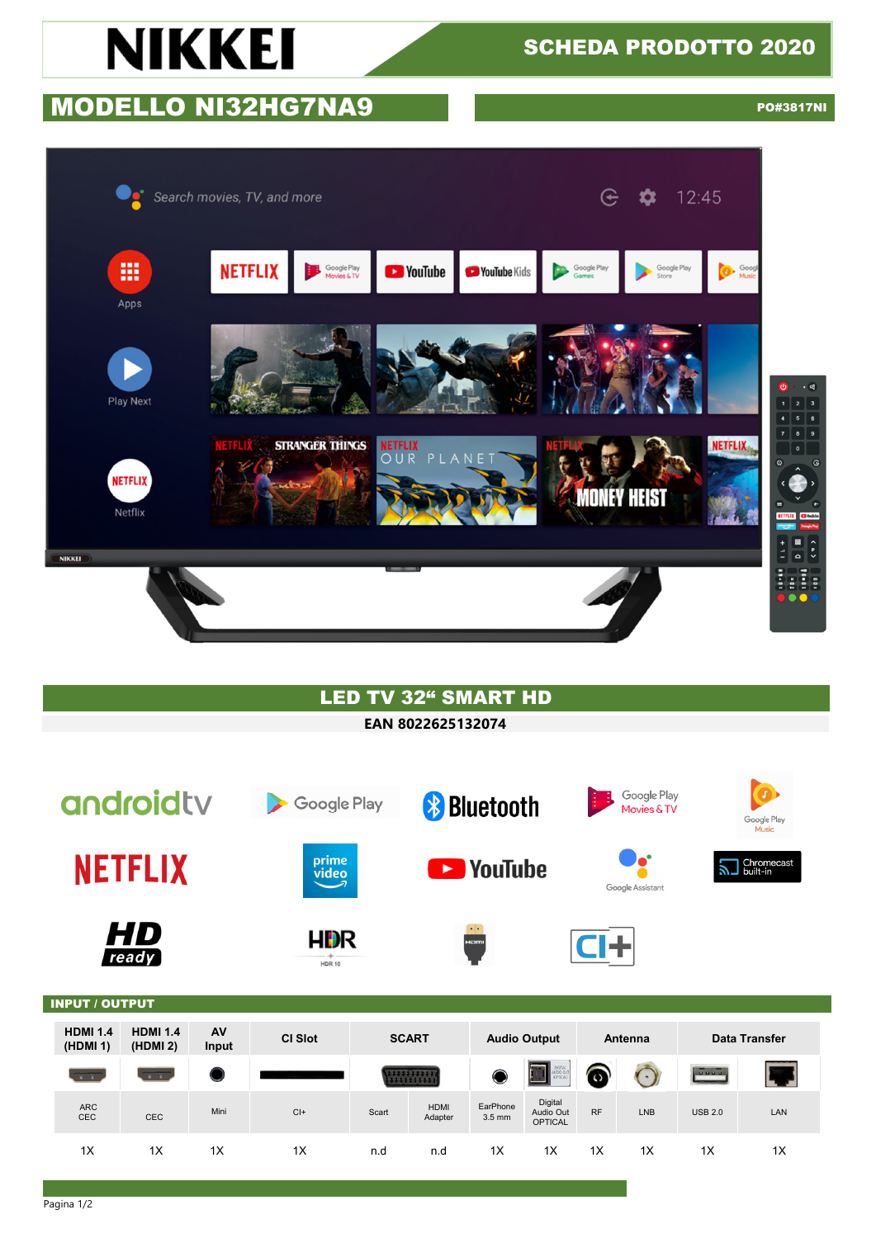# **NIKKEI**

## SCHEDA PRODOTTO 2020

## **MODELLO NI32HG7NA9** PO#3817NI



### LED TV 32" SMART HD

#### **EAN 8022625132074**

|                          | androidty                                 |       | <b>Google Play</b><br>$\blacktriangleright$ |       |                         | <b>*</b> Bluetooth         |                                        |           | Google Play<br>Movies & TV |                    | $\bigcirc$<br>Google Play<br>Music |
|--------------------------|-------------------------------------------|-------|---------------------------------------------|-------|-------------------------|----------------------------|----------------------------------------|-----------|----------------------------|--------------------|------------------------------------|
|                          | <b>NETFLIX</b>                            |       | prime<br>video                              |       |                         | <b>Exploration Control</b> |                                        |           | e.<br>Google Assistant     |                    | Chromecast<br>built-in             |
|                          | HD<br>ready                               |       | <b>HDR</b><br><b>HDR 10</b>                 |       |                         | $-1$<br>HOMI               |                                        | <b>J+</b> |                            |                    |                                    |
| <b>INPUT / OUTPUT</b>    |                                           |       |                                             |       |                         |                            |                                        |           |                            |                    |                                    |
| <b>HDMI 1.4</b>          | <b>HDMI 1.4</b>                           | AV    | <b>CI Slot</b>                              |       | <b>SCART</b>            | <b>Audio Output</b>        |                                        |           | <b>Antenna</b>             |                    | Data Transfer                      |
| (HDMI 1)<br><b>TIME</b>  | (HDMI 2)<br><b>The Contract of Street</b> | Input |                                             |       | ,,,,,,,,,,<br>,,,,,,,,, | O                          | DIGITAL<br>AUDIO OUT                   | $\bullet$ | $\left( \cdot \right)$     | $rac{1}{\sqrt{2}}$ |                                    |
| <b>ARC</b><br><b>CEC</b> | CEC                                       | Mini  | $Cl +$                                      | Scart | <b>HDMI</b><br>Adapter  | EarPhone<br>$3.5$ mm       | Digital<br>Audio Out<br><b>OPTICAL</b> | <b>RF</b> | <b>LNB</b>                 | <b>USB 2.0</b>     | LAN                                |